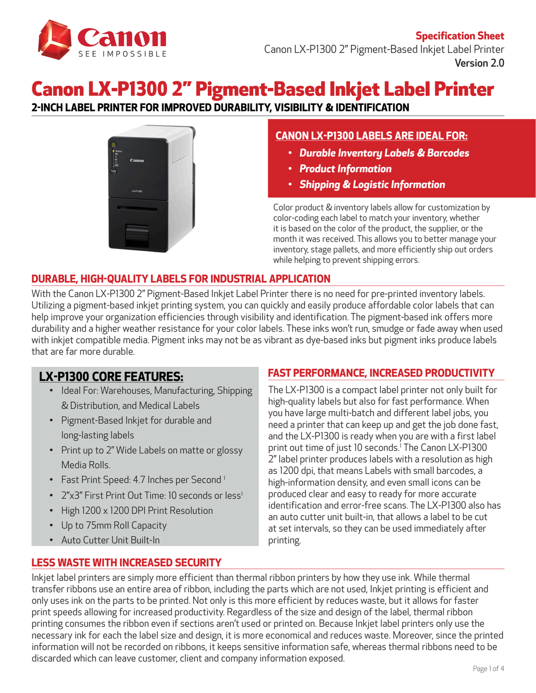

# Canon LX-P1300 2" Pigment-Based Inkjet Label Printer

**2-INCH LABEL PRINTER FOR IMPROVED DURABILITY, VISIBILITY & IDENTIFICATION**



## **CANON LX-P1300 LABELS ARE IDEAL FOR:**

- *• Durable Inventory Labels & Barcodes*
- *• Product Information*
- *• Shipping & Logistic Information*

Color product & inventory labels allow for customization by color-coding each label to match your inventory, whether it is based on the color of the product, the supplier, or the month it was received. This allows you to better manage your inventory, stage pallets, and more efficiently ship out orders while helping to prevent shipping errors.

## **DURABLE, HIGH-QUALITY LABELS FOR INDUSTRIAL APPLICATION**

With the Canon LX-P1300 2" Pigment-Based Inkjet Label Printer there is no need for pre-printed inventory labels. Utilizing a pigment-based inkjet printing system, you can quickly and easily produce affordable color labels that can help improve your organization efficiencies through visibility and identification. The pigment-based ink offers more durability and a higher weather resistance for your color labels. These inks won't run, smudge or fade away when used with inkjet compatible media. Pigment inks may not be as vibrant as dye-based inks but pigment inks produce labels that are far more durable.

## **LX-P1300 CORE FEATURES:**

- Ideal For: Warehouses, Manufacturing, Shipping & Distribution, and Medical Labels
- Pigment-Based Inkjet for durable and long-lasting labels
- Print up to 2" Wide Labels on matte or glossy Media Rolls.
- Fast Print Speed: 4.7 Inches per Second<sup>1</sup>
- 2"x3" First Print Out Time: 10 seconds or less<sup>1</sup>
- High 1200 x 1200 DPI Print Resolution
- Up to 75mm Roll Capacity
- Auto Cutter Unit Built-In

### **FAST PERFORMANCE, INCREASED PRODUCTIVITY**

The LX-P1300 is a compact label printer not only built for high-quality labels but also for fast performance. When you have large multi-batch and different label jobs, you need a printer that can keep up and get the job done fast, and the LX-P1300 is ready when you are with a first label print out time of just 10 seconds.1 The Canon LX-P1300 2" label printer produces labels with a resolution as high as 1200 dpi, that means Labels with small barcodes, a high-information density, and even small icons can be produced clear and easy to ready for more accurate identification and error-free scans. The LX-P1300 also has an auto cutter unit built-in, that allows a label to be cut at set intervals, so they can be used immediately after printing.

### **LESS WASTE WITH INCREASED SECURITY**

Inkjet label printers are simply more efficient than thermal ribbon printers by how they use ink. While thermal transfer ribbons use an entire area of ribbon, including the parts which are not used, Inkjet printing is efficient and only uses ink on the parts to be printed. Not only is this more efficient by reduces waste, but it allows for faster print speeds allowing for increased productivity. Regardless of the size and design of the label, thermal ribbon printing consumes the ribbon even if sections aren't used or printed on. Because Inkjet label printers only use the necessary ink for each the label size and design, it is more economical and reduces waste. Moreover, since the printed information will not be recorded on ribbons, it keeps sensitive information safe, whereas thermal ribbons need to be discarded which can leave customer, client and company information exposed.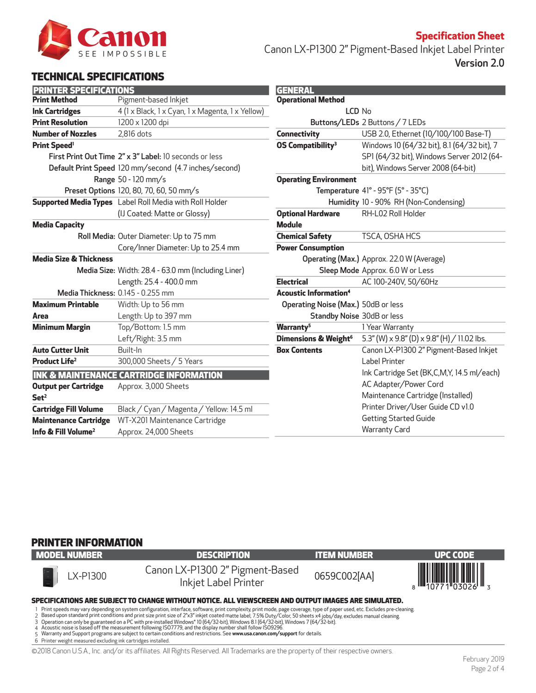

**Specification Sheet** Canon LX-P1300 2" Pigment-Based Inkjet Label Printer Version 2.0

## TECHNICAL SPECIFICATIONS

| <b>PRINTER SPECIFICATIONS</b>     |                                                                | <b>GENERAL</b>        |
|-----------------------------------|----------------------------------------------------------------|-----------------------|
| <b>Print Method</b>               | Pigment-based Inkjet                                           | <b>Operationa</b>     |
| <b>Ink Cartridges</b>             | 4 (1 x Black, 1 x Cyan, 1 x Magenta, 1 x Yellow)               |                       |
| <b>Print Resolution</b>           | 1200 x 1200 dpi                                                | В                     |
| <b>Number of Nozzles</b>          | 2,816 dots                                                     | <b>Connectivit</b>    |
| <b>Print Speed<sup>1</sup></b>    |                                                                | <b>OS Compat</b>      |
|                                   | First Print Out Time 2" x 3" Label: 10 seconds or less         |                       |
|                                   | Default Print Speed 120 mm/second (4.7 inches/second)          |                       |
|                                   | Range 50 - 120 mm/s                                            | <b>Operating</b>      |
|                                   | Preset Options 120, 80, 70, 60, 50 mm/s                        |                       |
|                                   | <b>Supported Media Types</b> Label Roll Media with Roll Holder |                       |
|                                   | (IJ Coated: Matte or Glossy)                                   | <b>Optional Ha</b>    |
| <b>Media Capacity</b>             |                                                                | <b>Module</b>         |
|                                   | Roll Media: Outer Diameter: Up to 75 mm                        | <b>Chemical S</b>     |
|                                   | Core/Inner Diameter: Up to 25.4 mm                             | <b>Power Cons</b>     |
| <b>Media Size &amp; Thickness</b> |                                                                | <b>Ope</b>            |
|                                   | Media Size: Width: 28.4 - 63.0 mm (Including Liner)            |                       |
|                                   | Length: 25.4 - 400.0 mm                                        | <b>Electrical</b>     |
|                                   | <b>Media Thickness: 0.145 - 0.255 mm</b>                       | <b>Acoustic In</b>    |
| <b>Maximum Printable</b>          | Width: Up to 56 mm                                             | Operating             |
| Area                              | Length: Up to 397 mm                                           | S                     |
| <b>Minimum Margin</b>             | Top/Bottom: 1.5 mm                                             | Warranty <sup>5</sup> |
|                                   | Left/Right: 3.5 mm                                             | <b>Dimensions</b>     |
| <b>Auto Cutter Unit</b>           | Built-In                                                       | <b>Box Conter</b>     |
| Product Life <sup>2</sup>         | 300,000 Sheets / 5 Years                                       |                       |
|                                   | <b>INK &amp; MAINTENANCE CARTRIDGE INFORMATION</b>             |                       |
| <b>Output per Cartridge</b>       | Approx. 3,000 Sheets                                           |                       |
| Set <sup>2</sup>                  |                                                                |                       |
| <b>Cartridge Fill Volume</b>      | Black / Cyan / Magenta / Yellow: 14.5 ml                       |                       |
| <b>Maintenance Cartridge</b>      | WT-X201 Maintenance Cartridge                                  |                       |
| Info & Fill Volume <sup>2</sup>   | Approx. 24,000 Sheets                                          |                       |
|                                   |                                                                |                       |

| LCD <sub>No</sub>                           |
|---------------------------------------------|
| Buttons/LEDs 2 Buttons / 7 LEDs             |
| USB 2.0, Ethernet (10/100/100 Base-T)       |
| Windows 10 (64/32 bit), 8.1 (64/32 bit), 7  |
| SP1 (64/32 bit), Windows Server 2012 (64-   |
| bit), Windows Server 2008 (64-bit)          |
|                                             |
| Temperature 41° - 95°F (5° - 35°C)          |
| Humidity 10 - 90% RH (Non-Condensing)       |
| RH-L02 Roll Holder                          |
|                                             |
| TSCA, OSHA HCS                              |
|                                             |
| Operating (Max.) Approx. 22.0 W (Average)   |
| Sleep Mode Approx. 6.0 W or Less            |
| AC 100-240V, 50/60Hz                        |
|                                             |
| Operating Noise (Max.) 50dB or less         |
| Standby Noise 30dB or less                  |
| 1 Year Warranty                             |
| 5.3" (W) x 9.8" (D) x 9.8" (H) / 11.02 lbs. |
| Canon LX-P1300 2" Pigment-Based Inkjet      |
| Label Printer                               |
| Ink Cartridge Set (BK,C,M,Y, 14.5 ml/each)  |
| AC Adapter/Power Cord                       |
| Maintenance Cartridge (Installed)           |
| Printer Driver/User Guide CD v1.0           |
| <b>Getting Started Guide</b>                |
| <b>Warranty Card</b>                        |
|                                             |

### PRINTER INFORMATION

| <b>MODEL NUMBER</b>                                                                                                                                                                                                                                                                                                                                                                                                                                                                            | <b>DESCRIPTION</b>                                                                                   | <b>ITEM NUMBER</b> | <b>UPC CODE</b>                      |  |
|------------------------------------------------------------------------------------------------------------------------------------------------------------------------------------------------------------------------------------------------------------------------------------------------------------------------------------------------------------------------------------------------------------------------------------------------------------------------------------------------|------------------------------------------------------------------------------------------------------|--------------------|--------------------------------------|--|
| LX-P1300<br>H                                                                                                                                                                                                                                                                                                                                                                                                                                                                                  | Canon LX-P1300 2" Pigment-Based<br>Inkjet Label Printer                                              | 0659C002[AA]       | $\frac{1}{3}$ $\frac{1}{1077103026}$ |  |
|                                                                                                                                                                                                                                                                                                                                                                                                                                                                                                | SPECIFICATIONS ARE SUBJECT TO CHANGE WITHOUT NOTICE. ALL VIEWSCREEN AND OUTPUT IMAGES ARE SIMULATED. |                    |                                      |  |
| Print speeds may vary depending on system configuration, interface, software, print complexity, print mode, page coverage, type of paper used, etc. Excludes pre-cleaning.<br>2 Based upon standard print conditions and print size print size of 2"x3" inkjet coated matte label, 7.5% Duty/Color, 50 sheets x4 jobs/day, excludes manual cleaning.<br>3 Operation can only be guaranteed on a PC with pre-installed Windows® 10 (64/32-bit), Windows 8.1 (64/32-bit), Windows 7 (64/32-bit). |                                                                                                      |                    |                                      |  |

2 3 4 5 6

Acoustic noise is based off the measurement following ISO7779, and the display number shall follow ISO9296.<br>Warranty and Support programs are subject to certain conditions and restrictions. See **www.usa.canon.com/support**

Printer weight measured excluding ink cartridges installed.

©2018 Canon U.S.A., Inc. and/or its affiliates. All Rights Reserved. All Trademarks are the property of their respective owners.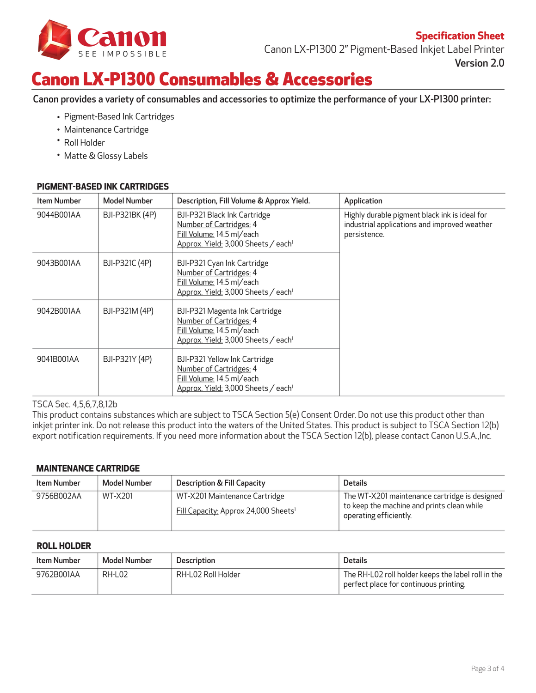

Canon LX-P1300 2" Pigment-Based Inkjet Label Printer Version 2.0

## Canon LX-P1300 Consumables & Accessories

Canon provides a variety of consumables and accessories to optimize the performance of your LX-P1300 printer:

- Pigment-Based Ink Cartridges •
- Maintenance Cartridge •
- Roll Holder •
- Matte & Glossy Labels •

### **PIGMENT-BASED INK CARTRIDGES**

| <b>Item Number</b> | <b>Model Number</b> | Description, Fill Volume & Approx Yield.                                                                                                  | Application                                                                                                   |
|--------------------|---------------------|-------------------------------------------------------------------------------------------------------------------------------------------|---------------------------------------------------------------------------------------------------------------|
| 9044B001AA         | BJI-P321BK (4P)     | BJI-P321 Black Ink Cartridge<br>Number of Cartridges: 4<br>Fill Volume: 14.5 ml/each<br>Approx. Yield: 3,000 Sheets / each <sup>1</sup>   | Highly durable pigment black ink is ideal for<br>industrial applications and improved weather<br>persistence. |
| 9043B001AA         | BJI-P321C (4P)      | BJI-P321 Cyan Ink Cartridge<br>Number of Cartridges: 4<br>Fill Volume: 14.5 ml/each<br>Approx. Yield: 3,000 Sheets / each <sup>1</sup>    |                                                                                                               |
| 9042B001AA         | BJI-P321M (4P)      | BJI-P321 Magenta Ink Cartridge<br>Number of Cartridges: 4<br>Fill Volume: 14.5 ml/each<br>Approx. Yield: 3,000 Sheets / each <sup>1</sup> |                                                                                                               |
| 9041B001AA         | BJI-P321Y (4P)      | BJI-P321 Yellow Ink Cartridge<br>Number of Cartridges: 4<br>Fill Volume: 14.5 ml/each<br>Approx. Yield: 3,000 Sheets / each <sup>1</sup>  |                                                                                                               |

### TSCA Sec. 4,5,6,7,8,12b

This product contains substances which are subject to TSCA Section 5(e) Consent Order. Do not use this product other than inkjet printer ink. Do not release this product into the waters of the United States. This product is subject to TSCA Section 12(b) export notification requirements. If you need more information about the TSCA Section 12(b), please contact Canon U.S.A.,Inc.

### **MAINTENANCE CARTRIDGE**

| Item Number | Model Number | <b>Description &amp; Fill Capacity</b>                                            | <b>Details</b>                                                                                                        |
|-------------|--------------|-----------------------------------------------------------------------------------|-----------------------------------------------------------------------------------------------------------------------|
| 9756B002AA  | WT-X201      | WT-X201 Maintenance Cartridge<br>Fill Capacity: Approx 24,000 Sheets <sup>1</sup> | The WT-X201 maintenance cartridge is designed<br>to keep the machine and prints clean while<br>operating efficiently. |

### **ROLL HOLDER**

| <b>Item Number</b> | Model Number | Description        | <b>Details</b>                                                                               |
|--------------------|--------------|--------------------|----------------------------------------------------------------------------------------------|
| 9762B001AA         | $RH$ -L02    | RH-L02 Roll Holder | The RH-L02 roll holder keeps the label roll in the<br>perfect place for continuous printing. |